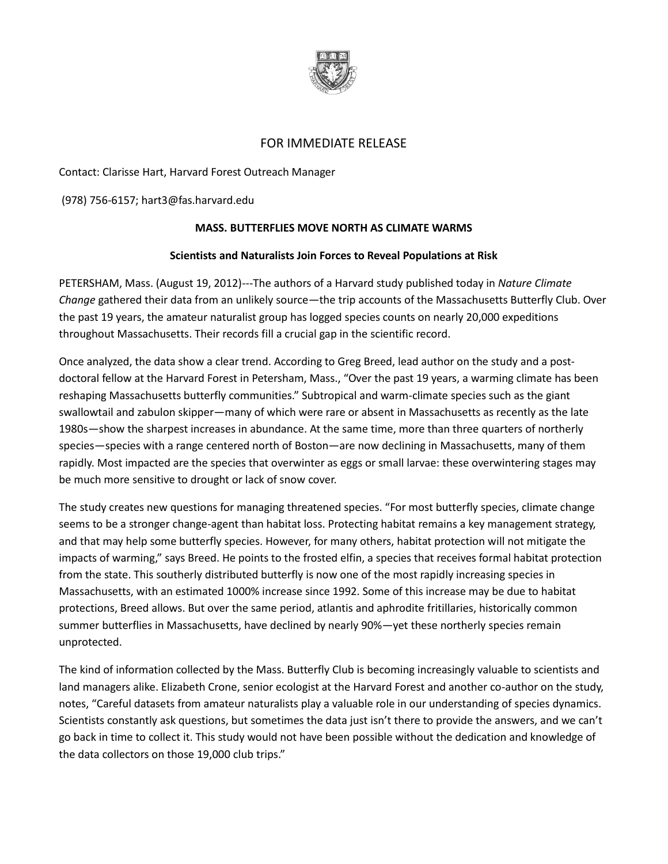

## FOR IMMEDIATE RELEASE

Contact: Clarisse Hart, Harvard Forest Outreach Manager

(978) 756-6157[; hart3@fas.harvard.edu](mailto:hart3@fas.harvard.edu)

## **MASS. BUTTERFLIES MOVE NORTH AS CLIMATE WARMS**

## **Scientists and Naturalists Join Forces to Reveal Populations at Risk**

PETERSHAM, Mass. (August 19, 2012)---The authors of a Harvard study published today in *Nature Climate Change* gathered their data from an unlikely source—the trip accounts of the Massachusetts Butterfly Club. Over the past 19 years, the amateur naturalist group has logged species counts on nearly 20,000 expeditions throughout Massachusetts. Their records fill a crucial gap in the scientific record.

Once analyzed, the data show a clear trend. According to Greg Breed, lead author on the study and a postdoctoral fellow at the Harvard Forest in Petersham, Mass., "Over the past 19 years, a warming climate has been reshaping Massachusetts butterfly communities." Subtropical and warm-climate species such as the giant swallowtail and zabulon skipper—many of which were rare or absent in Massachusetts as recently as the late 1980s—show the sharpest increases in abundance. At the same time, more than three quarters of northerly species—species with a range centered north of Boston—are now declining in Massachusetts, many of them rapidly. Most impacted are the species that overwinter as eggs or small larvae: these overwintering stages may be much more sensitive to drought or lack of snow cover.

The study creates new questions for managing threatened species. "For most butterfly species, climate change seems to be a stronger change-agent than habitat loss. Protecting habitat remains a key management strategy, and that may help some butterfly species. However, for many others, habitat protection will not mitigate the impacts of warming," says Breed. He points to the frosted elfin, a species that receives formal habitat protection from the state. This southerly distributed butterfly is now one of the most rapidly increasing species in Massachusetts, with an estimated 1000% increase since 1992. Some of this increase may be due to habitat protections, Breed allows. But over the same period, atlantis and aphrodite fritillaries, historically common summer butterflies in Massachusetts, have declined by nearly 90%—yet these northerly species remain unprotected.

The kind of information collected by the Mass. Butterfly Club is becoming increasingly valuable to scientists and land managers alike. Elizabeth Crone, senior ecologist at the Harvard Forest and another co-author on the study, notes, "Careful datasets from amateur naturalists play a valuable role in our understanding of species dynamics. Scientists constantly ask questions, but sometimes the data just isn't there to provide the answers, and we can't go back in time to collect it. This study would not have been possible without the dedication and knowledge of the data collectors on those 19,000 club trips."